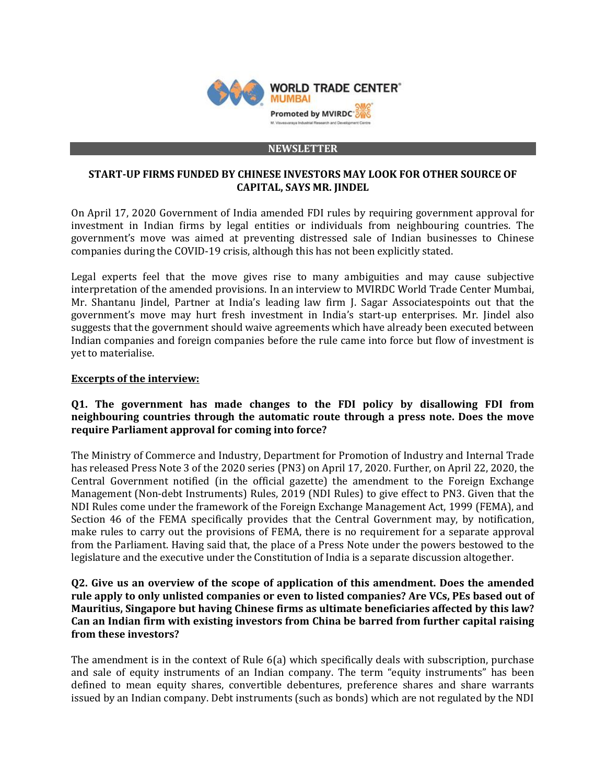

#### **NEWSLETTER**

## **START-UP FIRMS FUNDED BY CHINESE INVESTORS MAY LOOK FOR OTHER SOURCE OF CAPITAL, SAYS MR. JINDEL**

On April 17, 2020 Government of India amended FDI rules by requiring government approval for investment in Indian firms by legal entities or individuals from neighbouring countries. The government's move was aimed at preventing distressed sale of Indian businesses to Chinese companies during the COVID-19 crisis, although this has not been explicitly stated.

Legal experts feel that the move gives rise to many ambiguities and may cause subjective interpretation of the amended provisions. In an interview to MVIRDC World Trade Center Mumbai, Mr. Shantanu Jindel, Partner at India's leading law firm J. Sagar Associatespoints out that the government's move may hurt fresh investment in India's start-up enterprises. Mr. Jindel also suggests that the government should waive agreements which have already been executed between Indian companies and foreign companies before the rule came into force but flow of investment is yet to materialise.

### **Excerpts of the interview:**

# **Q1. The government has made changes to the FDI policy by disallowing FDI from neighbouring countries through the automatic route through a press note. Does the move require Parliament approval for coming into force?**

The Ministry of Commerce and Industry, Department for Promotion of Industry and Internal Trade has released Press Note 3 of the 2020 series (PN3) on April 17, 2020. Further, on April 22, 2020, the Central Government notified (in the official gazette) the amendment to the Foreign Exchange Management (Non-debt Instruments) Rules, 2019 (NDI Rules) to give effect to PN3. Given that the NDI Rules come under the framework of the Foreign Exchange Management Act, 1999 (FEMA), and Section 46 of the FEMA specifically provides that the Central Government may, by notification, make rules to carry out the provisions of FEMA, there is no requirement for a separate approval from the Parliament. Having said that, the place of a Press Note under the powers bestowed to the legislature and the executive under the Constitution of India is a separate discussion altogether.

# **Q2. Give us an overview of the scope of application of this amendment. Does the amended rule apply to only unlisted companies or even to listed companies? Are VCs, PEs based out of Mauritius, Singapore but having Chinese firms as ultimate beneficiaries affected by this law? Can an Indian firm with existing investors from China be barred from further capital raising from these investors?**

The amendment is in the context of Rule 6(a) which specifically deals with subscription, purchase and sale of equity instruments of an Indian company. The term "equity instruments" has been defined to mean equity shares, convertible debentures, preference shares and share warrants issued by an Indian company. Debt instruments (such as bonds) which are not regulated by the NDI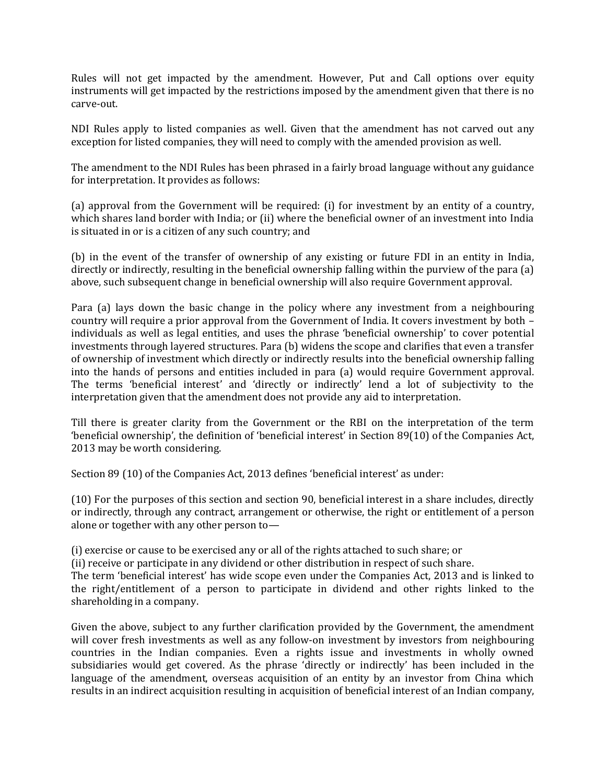Rules will not get impacted by the amendment. However, Put and Call options over equity instruments will get impacted by the restrictions imposed by the amendment given that there is no carve-out.

NDI Rules apply to listed companies as well. Given that the amendment has not carved out any exception for listed companies, they will need to comply with the amended provision as well.

The amendment to the NDI Rules has been phrased in a fairly broad language without any guidance for interpretation. It provides as follows:

(a) approval from the Government will be required: (i) for investment by an entity of a country, which shares land border with India; or (ii) where the beneficial owner of an investment into India is situated in or is a citizen of any such country; and

(b) in the event of the transfer of ownership of any existing or future FDI in an entity in India, directly or indirectly, resulting in the beneficial ownership falling within the purview of the para (a) above, such subsequent change in beneficial ownership will also require Government approval.

Para (a) lays down the basic change in the policy where any investment from a neighbouring country will require a prior approval from the Government of India. It covers investment by both – individuals as well as legal entities, and uses the phrase 'beneficial ownership' to cover potential investments through layered structures. Para (b) widens the scope and clarifies that even a transfer of ownership of investment which directly or indirectly results into the beneficial ownership falling into the hands of persons and entities included in para (a) would require Government approval. The terms 'beneficial interest' and 'directly or indirectly' lend a lot of subjectivity to the interpretation given that the amendment does not provide any aid to interpretation.

Till there is greater clarity from the Government or the RBI on the interpretation of the term 'beneficial ownership', the definition of 'beneficial interest' in Section 89(10) of the Companies Act, 2013 may be worth considering.

Section 89 (10) of the Companies Act, 2013 defines 'beneficial interest' as under:

(10) For the purposes of this section and section 90, beneficial interest in a share includes, directly or indirectly, through any contract, arrangement or otherwise, the right or entitlement of a person alone or together with any other person to—

(i) exercise or cause to be exercised any or all of the rights attached to such share; or

(ii) receive or participate in any dividend or other distribution in respect of such share.

The term 'beneficial interest' has wide scope even under the Companies Act, 2013 and is linked to the right/entitlement of a person to participate in dividend and other rights linked to the shareholding in a company.

Given the above, subject to any further clarification provided by the Government, the amendment will cover fresh investments as well as any follow-on investment by investors from neighbouring countries in the Indian companies. Even a rights issue and investments in wholly owned subsidiaries would get covered. As the phrase 'directly or indirectly' has been included in the language of the amendment, overseas acquisition of an entity by an investor from China which results in an indirect acquisition resulting in acquisition of beneficial interest of an Indian company,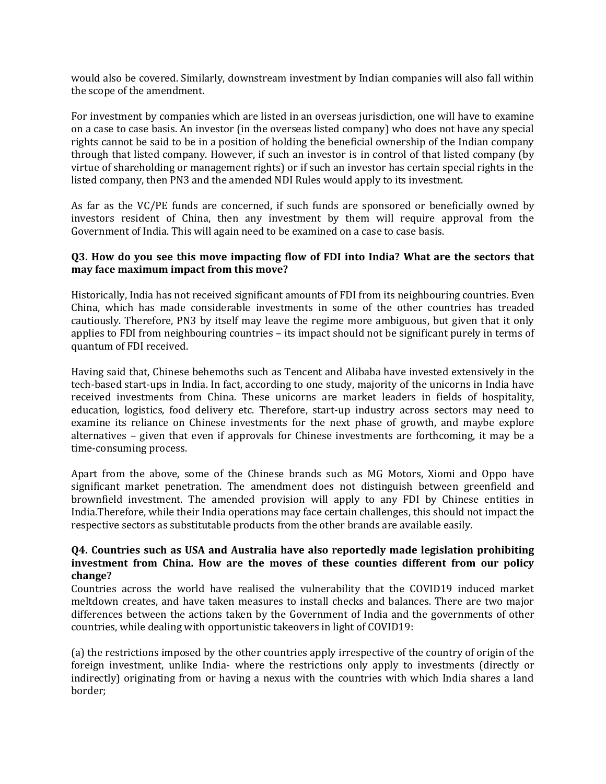would also be covered. Similarly, downstream investment by Indian companies will also fall within the scope of the amendment.

For investment by companies which are listed in an overseas jurisdiction, one will have to examine on a case to case basis. An investor (in the overseas listed company) who does not have any special rights cannot be said to be in a position of holding the beneficial ownership of the Indian company through that listed company. However, if such an investor is in control of that listed company (by virtue of shareholding or management rights) or if such an investor has certain special rights in the listed company, then PN3 and the amended NDI Rules would apply to its investment.

As far as the VC/PE funds are concerned, if such funds are sponsored or beneficially owned by investors resident of China, then any investment by them will require approval from the Government of India. This will again need to be examined on a case to case basis.

## **Q3. How do you see this move impacting flow of FDI into India? What are the sectors that may face maximum impact from this move?**

Historically, India has not received significant amounts of FDI from its neighbouring countries. Even China, which has made considerable investments in some of the other countries has treaded cautiously. Therefore, PN3 by itself may leave the regime more ambiguous, but given that it only applies to FDI from neighbouring countries – its impact should not be significant purely in terms of quantum of FDI received.

Having said that, Chinese behemoths such as Tencent and Alibaba have invested extensively in the tech-based start-ups in India. In fact, according to one study, majority of the unicorns in India have received investments from China. These unicorns are market leaders in fields of hospitality, education, logistics, food delivery etc. Therefore, start-up industry across sectors may need to examine its reliance on Chinese investments for the next phase of growth, and maybe explore alternatives – given that even if approvals for Chinese investments are forthcoming, it may be a time-consuming process.

Apart from the above, some of the Chinese brands such as MG Motors, Xiomi and Oppo have significant market penetration. The amendment does not distinguish between greenfield and brownfield investment. The amended provision will apply to any FDI by Chinese entities in India.Therefore, while their India operations may face certain challenges, this should not impact the respective sectors as substitutable products from the other brands are available easily.

## **Q4. Countries such as USA and Australia have also reportedly made legislation prohibiting investment from China. How are the moves of these counties different from our policy change?**

Countries across the world have realised the vulnerability that the COVID19 induced market meltdown creates, and have taken measures to install checks and balances. There are two major differences between the actions taken by the Government of India and the governments of other countries, while dealing with opportunistic takeovers in light of COVID19:

(a) the restrictions imposed by the other countries apply irrespective of the country of origin of the foreign investment, unlike India- where the restrictions only apply to investments (directly or indirectly) originating from or having a nexus with the countries with which India shares a land border;